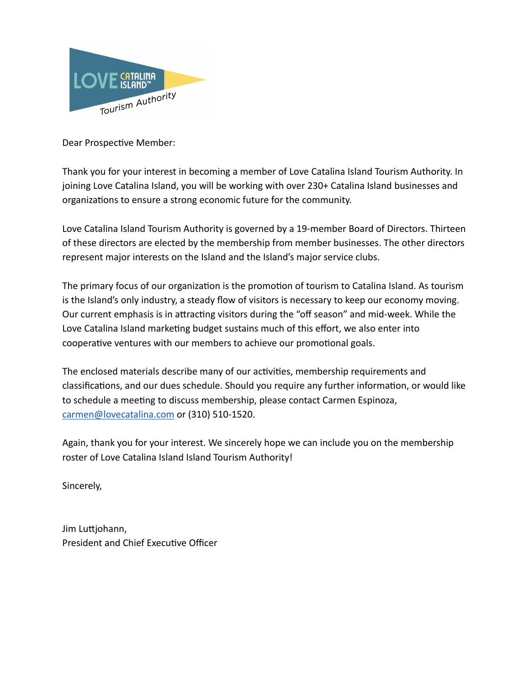

Dear Prospective Member:

Thank you for your interest in becoming a member of Love Catalina Island Tourism Authority. In joining Love Catalina Island, you will be working with over 230+ Catalina Island businesses and organizations to ensure a strong economic future for the community.

Love Catalina Island Tourism Authority is governed by a 19-member Board of Directors. Thirteen of these directors are elected by the membership from member businesses. The other directors represent major interests on the Island and the Island's major service clubs.

The primary focus of our organization is the promotion of tourism to Catalina Island. As tourism is the Island's only industry, a steady flow of visitors is necessary to keep our economy moving. Our current emphasis is in attracting visitors during the "off season" and mid-week. While the Love Catalina Island marketing budget sustains much of this effort, we also enter into cooperative ventures with our members to achieve our promotional goals.

The enclosed materials describe many of our activities, membership requirements and classifications, and our dues schedule. Should you require any further information, or would like to schedule a meeting to discuss membership, please contact Carmen Espinoza, [carmen@lovecatalina.com](mailto:carmen@lovecatalina.com) or (310) 510-1520.

Again, thank you for your interest. We sincerely hope we can include you on the membership roster of Love Catalina Island Island Tourism Authority!

Sincerely,

Jim Luttjohann, President and Chief Executive Officer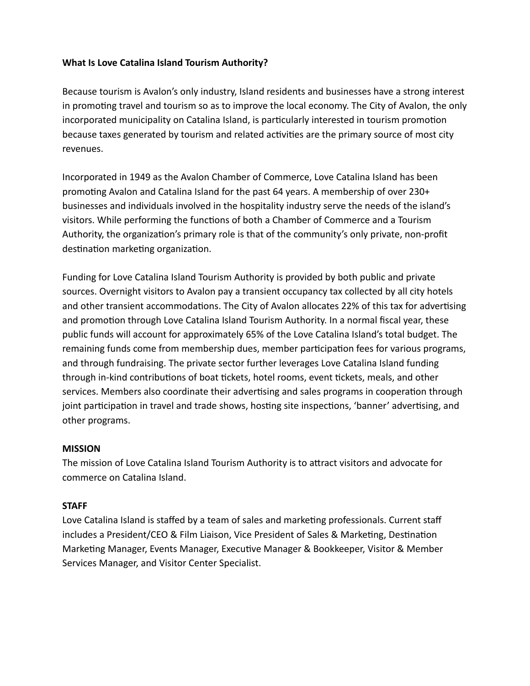# **What Is Love Catalina Island Tourism Authority?**

Because tourism is Avalon's only industry, Island residents and businesses have a strong interest in promoting travel and tourism so as to improve the local economy. The City of Avalon, the only incorporated municipality on Catalina Island, is particularly interested in tourism promotion because taxes generated by tourism and related activities are the primary source of most city revenues.

Incorporated in 1949 as the Avalon Chamber of Commerce, Love Catalina Island has been promoting Avalon and Catalina Island for the past 64 years. A membership of over 230+ businesses and individuals involved in the hospitality industry serve the needs of the island's visitors. While performing the functions of both a Chamber of Commerce and a Tourism Authority, the organization's primary role is that of the community's only private, non-profit destination marketing organization.

Funding for Love Catalina Island Tourism Authority is provided by both public and private sources. Overnight visitors to Avalon pay a transient occupancy tax collected by all city hotels and other transient accommodations. The City of Avalon allocates 22% of this tax for advertising and promotion through Love Catalina Island Tourism Authority. In a normal fiscal year, these public funds will account for approximately 65% of the Love Catalina Island's total budget. The remaining funds come from membership dues, member participation fees for various programs, and through fundraising. The private sector further leverages Love Catalina Island funding through in-kind contributions of boat tickets, hotel rooms, event tickets, meals, and other services. Members also coordinate their advertising and sales programs in cooperation through joint participation in travel and trade shows, hosting site inspections, 'banner' advertising, and other programs.

# **MISSION**

The mission of Love Catalina Island Tourism Authority is to attract visitors and advocate for commerce on Catalina Island.

# **STAFF**

Love Catalina Island is staffed by a team of sales and marketing professionals. Current staff includes a President/CEO & Film Liaison, Vice President of Sales & Marketing, Destination Marketing Manager, Events Manager, Executive Manager & Bookkeeper, Visitor & Member Services Manager, and Visitor Center Specialist.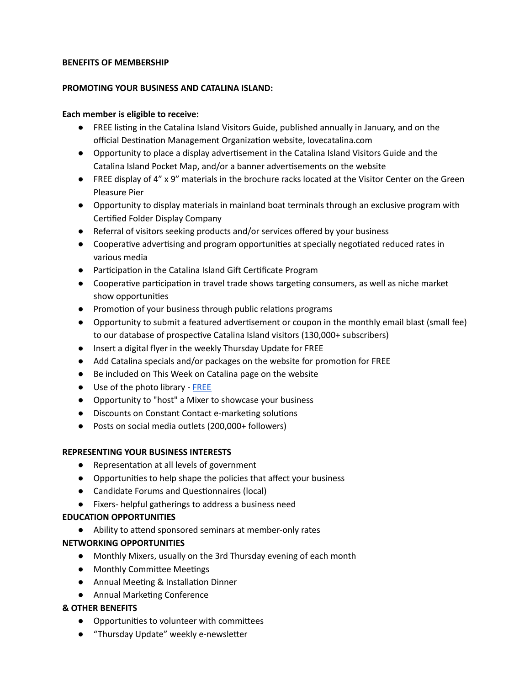#### **BENEFITS OF MEMBERSHIP**

#### **PROMOTING YOUR BUSINESS AND CATALINA ISLAND:**

#### **Each member is eligible to receive:**

- FREE listing in the Catalina Island Visitors Guide, published annually in January, and on the official Destination Management Organization website, lovecatalina.com
- Opportunity to place a display advertisement in the Catalina Island Visitors Guide and the Catalina Island Pocket Map, and/or a banner advertisements on the website
- FREE display of 4" x 9" materials in the brochure racks located at the Visitor Center on the Green Pleasure Pier
- Opportunity to display materials in mainland boat terminals through an exclusive program with Certified Folder Display Company
- Referral of visitors seeking products and/or services offered by your business
- Cooperative advertising and program opportunities at specially negotiated reduced rates in various media
- Participation in the Catalina Island Gift Certificate Program
- Cooperative participation in travel trade shows targeting consumers, as well as niche market show opportunities
- Promotion of your business through public relations programs
- Opportunity to submit a featured advertisement or coupon in the monthly email blast (small fee) to our database of prospective Catalina Island visitors (130,000+ subscribers)
- Insert a digital flyer in the weekly Thursday Update for FREE
- Add Catalina specials and/or packages on the website for promotion for FREE
- Be included on This Week on Catalina page on the website
- Use of the photo library [FREE](https://www.lovecatalina.com/media/image-library/)
- Opportunity to "host" a Mixer to showcase your business
- Discounts on Constant Contact e-marketing solutions
- Posts on social media outlets (200,000+ followers)

### **REPRESENTING YOUR BUSINESS INTERESTS**

- Representation at all levels of government
- Opportunities to help shape the policies that affect your business
- Candidate Forums and Questionnaires (local)
- Fixers- helpful gatherings to address a business need

### **EDUCATION OPPORTUNITIES**

● Ability to attend sponsored seminars at member-only rates

### **NETWORKING OPPORTUNITIES**

- Monthly Mixers, usually on the 3rd Thursday evening of each month
- Monthly Committee Meetings
- Annual Meeting & Installation Dinner
- Annual Marketing Conference

### **& OTHER BENEFITS**

- Opportunities to volunteer with committees
- "Thursday Update" weekly e-newsletter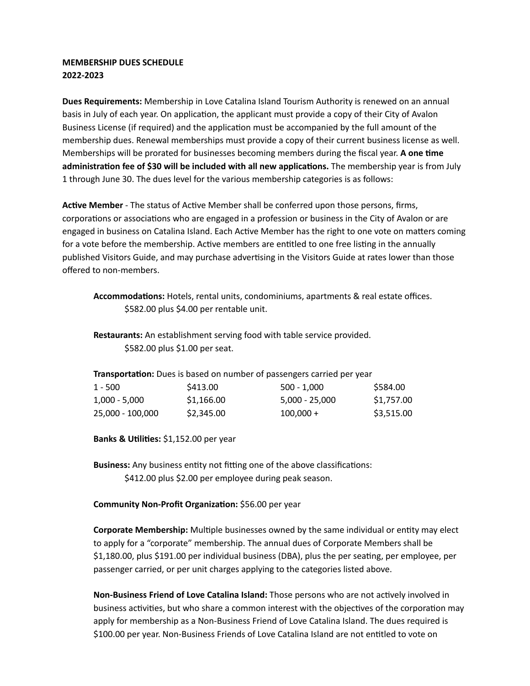## **MEMBERSHIP DUES SCHEDULE 2022-2023**

**Dues Requirements:** Membership in Love Catalina Island Tourism Authority is renewed on an annual basis in July of each year. On application, the applicant must provide a copy of their City of Avalon Business License (if required) and the application must be accompanied by the full amount of the membership dues. Renewal memberships must provide a copy of their current business license as well. Memberships will be prorated for businesses becoming members during the fiscal year. **A one me administration fee of \$30 will be included with all new applications. The membership year is from July** 1 through June 30. The dues level for the various membership categories is as follows:

Active Member - The status of Active Member shall be conferred upon those persons, firms, corporations or associations who are engaged in a profession or business in the City of Avalon or are engaged in business on Catalina Island. Each Active Member has the right to one vote on matters coming for a vote before the membership. Active members are entitled to one free listing in the annually published Visitors Guide, and may purchase advertising in the Visitors Guide at rates lower than those offered to non-members.

Accommodations: Hotels, rental units, condominiums, apartments & real estate offices. \$582.00 plus \$4.00 per rentable unit.

**Restaurants:** An establishment serving food with table service provided. \$582.00 plus \$1.00 per seat.

| Transportation: Dues is based on number of passengers carried per year |            |                  |            |  |  |  |
|------------------------------------------------------------------------|------------|------------------|------------|--|--|--|
| 1 - 500                                                                | \$413.00   | $500 - 1.000$    | \$584.00   |  |  |  |
| 1.000 - 5.000                                                          | \$1,166.00 | $5,000 - 25,000$ | \$1,757.00 |  |  |  |
| 25,000 - 100,000                                                       | \$2,345.00 | $100.000 +$      | \$3,515.00 |  |  |  |

**Banks & Utilities:** \$1,152.00 per year

Business: Any business entity not fitting one of the above classifications: \$412.00 plus \$2.00 per employee during peak season.

**Community Non-Profit Organization: \$56.00 per year** 

**Corporate Membership:** Multiple businesses owned by the same individual or entity may elect to apply for a "corporate" membership. The annual dues of Corporate Members shall be \$1,180.00, plus \$191.00 per individual business (DBA), plus the per seating, per employee, per passenger carried, or per unit charges applying to the categories listed above.

**Non-Business Friend of Love Catalina Island:** Those persons who are not actively involved in business activities, but who share a common interest with the objectives of the corporation may apply for membership as a Non-Business Friend of Love Catalina Island. The dues required is \$100.00 per year. Non-Business Friends of Love Catalina Island are not entitled to vote on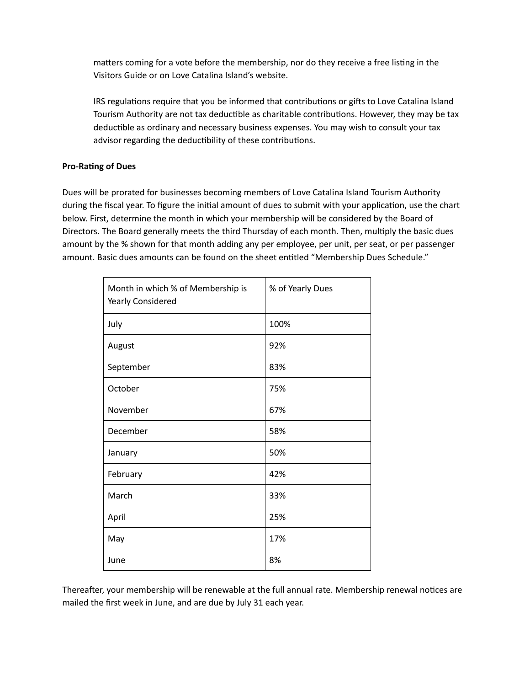matters coming for a vote before the membership, nor do they receive a free listing in the Visitors Guide or on Love Catalina Island's website.

IRS regulations require that you be informed that contributions or gifts to Love Catalina Island Tourism Authority are not tax deductible as charitable contributions. However, they may be tax deductible as ordinary and necessary business expenses. You may wish to consult your tax advisor regarding the deductibility of these contributions.

## **Pro-Rating of Dues**

Dues will be prorated for businesses becoming members of Love Catalina Island Tourism Authority during the fiscal year. To figure the initial amount of dues to submit with your application, use the chart below. First, determine the month in which your membership will be considered by the Board of Directors. The Board generally meets the third Thursday of each month. Then, multiply the basic dues amount by the % shown for that month adding any per employee, per unit, per seat, or per passenger amount. Basic dues amounts can be found on the sheet entitled "Membership Dues Schedule."

| Month in which % of Membership is<br>Yearly Considered | % of Yearly Dues |  |
|--------------------------------------------------------|------------------|--|
| July                                                   | 100%             |  |
| August                                                 | 92%              |  |
| September                                              | 83%              |  |
| October                                                | 75%              |  |
| November                                               | 67%              |  |
| December                                               | 58%              |  |
| January                                                | 50%              |  |
| February                                               | 42%              |  |
| March                                                  | 33%              |  |
| April                                                  | 25%              |  |
| May                                                    | 17%              |  |
| June                                                   | 8%               |  |

Thereafter, your membership will be renewable at the full annual rate. Membership renewal notices are mailed the first week in June, and are due by July 31 each year.